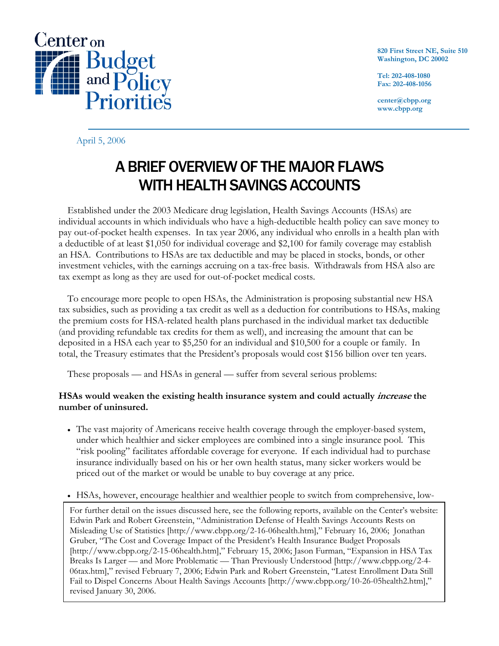

**820 First Street NE, Suite 510 Washington, DC 20002** 

**Tel: 202-408-1080 Fax: 202-408-1056** 

**center@cbpp.org www.cbpp.org** 

April 5, 2006

# A BRIEF OVERVIEW OF THE MAJOR FLAWS WITH HEALTH SAVINGS ACCOUNTS

 Established under the 2003 Medicare drug legislation, Health Savings Accounts (HSAs) are individual accounts in which individuals who have a high-deductible health policy can save money to pay out-of-pocket health expenses. In tax year 2006, any individual who enrolls in a health plan with a deductible of at least \$1,050 for individual coverage and \$2,100 for family coverage may establish an HSA. Contributions to HSAs are tax deductible and may be placed in stocks, bonds, or other investment vehicles, with the earnings accruing on a tax-free basis. Withdrawals from HSA also are tax exempt as long as they are used for out-of-pocket medical costs.

 To encourage more people to open HSAs, the Administration is proposing substantial new HSA tax subsidies, such as providing a tax credit as well as a deduction for contributions to HSAs, making the premium costs for HSA-related health plans purchased in the individual market tax deductible (and providing refundable tax credits for them as well), and increasing the amount that can be deposited in a HSA each year to \$5,250 for an individual and \$10,500 for a couple or family. In total, the Treasury estimates that the President's proposals would cost \$156 billion over ten years.

These proposals — and HSAs in general — suffer from several serious problems:

## **HSAs would weaken the existing health insurance system and could actually increase the number of uninsured.**

- The vast majority of Americans receive health coverage through the employer-based system, under which healthier and sicker employees are combined into a single insurance pool. This "risk pooling" facilitates affordable coverage for everyone. If each individual had to purchase insurance individually based on his or her own health status, many sicker workers would be priced out of the market or would be unable to buy coverage at any price.
- HSAs, however, encourage healthier and wealthier people to switch from comprehensive, low-

For further detail on the issues discussed here, see the following reports, available on the Center's website: Edwin Park and Robert Greenstein, "Administration Defense of Health Savings Accounts Rests on Misleading Use of Statistics [http://www.cbpp.org/2-16-06health.htm]," February 16, 2006; Jonathan Gruber, "The Cost and Coverage Impact of the President's Health Insurance Budget Proposals [http://www.cbpp.org/2-15-06health.htm]," February 15, 2006; Jason Furman, "Expansion in HSA Tax Breaks Is Larger — and More Problematic — Than Previously Understood [http://www.cbpp.org/2-4- 06tax.htm]," revised February 7, 2006; Edwin Park and Robert Greenstein, "Latest Enrollment Data Still Fail to Dispel Concerns About Health Savings Accounts [http://www.cbpp.org/10-26-05health2.htm]," revised January 30, 2006.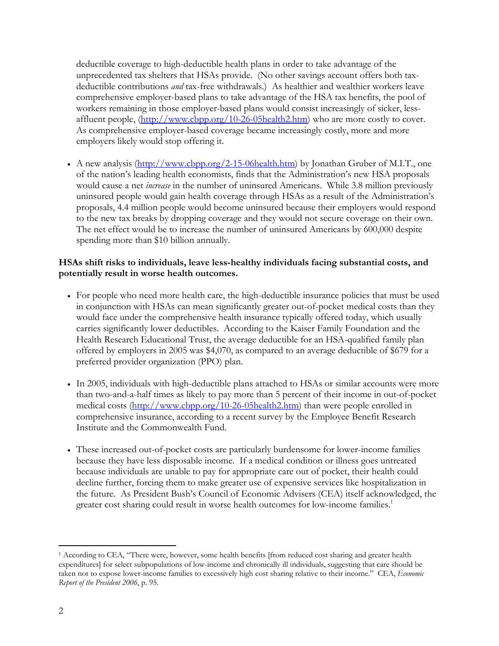deductible coverage to high-deductible health plans in order to take advantage of the unprecedented tax shelters that HSAs provide. (No other savings account offers both taxdeductible contributions *and* tax-free withdrawals.) As healthier and wealthier workers leave comprehensive employer-based plans to take advantage of the HSA tax benefits, the pool of workers remaining in those employer-based plans would consist increasingly of sicker, lessaffluent people,  $(\frac{http://www.cbpp.org/10-26-05health2.htm}{http://www.cbpp.org/10-26-05health2.htm})$  who are more costly to cover. As comprehensive employer-based coverage became increasingly costly, more and more employers likely would stop offering it.

• A new analysis (http://www.cbpp.org/2-15-06health.htm) by Jonathan Gruber of M.I.T., one of the nation's leading health economists, finds that the Administration's new HSA proposals would cause a net *increase* in the number of uninsured Americans. While 3.8 million previously uninsured people would gain health coverage through HSAs as a result of the Administration's proposals, 4.4 million people would become uninsured because their employers would respond to the new tax breaks by dropping coverage and they would not secure coverage on their own. The net effect would be to increase the number of uninsured Americans by 600,000 despite spending more than \$10 billion annually.

### **HSAs shift risks to individuals, leave less-healthy individuals facing substantial costs, and potentially result in worse health outcomes.**

- For people who need more health care, the high-deductible insurance policies that must be used in conjunction with HSAs can mean significantly greater out-of-pocket medical costs than they would face under the comprehensive health insurance typically offered today, which usually carries significantly lower deductibles. According to the Kaiser Family Foundation and the Health Research Educational Trust, the average deductible for an HSA-qualified family plan offered by employers in 2005 was \$4,070, as compared to an average deductible of \$679 for a preferred provider organization (PPO) plan.
- In 2005, individuals with high-deductible plans attached to HSAs or similar accounts were more than two-and-a-half times as likely to pay more than 5 percent of their income in out-of-pocket medical costs (http://www.cbpp.org/10-26-05health2.htm) than were people enrolled in comprehensive insurance, according to a recent survey by the Employee Benefit Research Institute and the Commonwealth Fund.
- These increased out-of-pocket costs are particularly burdensome for lower-income families because they have less disposable income. If a medical condition or illness goes untreated because individuals are unable to pay for appropriate care out of pocket, their health could decline further, forcing them to make greater use of expensive services like hospitalization in the future. As President Bush's Council of Economic Advisers (CEA) itself acknowledged, the greater cost sharing could result in worse health outcomes for low-income families.<sup>1</sup>

-

<sup>1</sup> According to CEA, "There were, however, some health benefits [from reduced cost sharing and greater health expenditures] for select subpopulations of low-income and chronically ill individuals, suggesting that care should be taken not to expose lower-income families to excessively high cost sharing relative to their income." CEA, *Economic Report of the President 2006*, p. 95.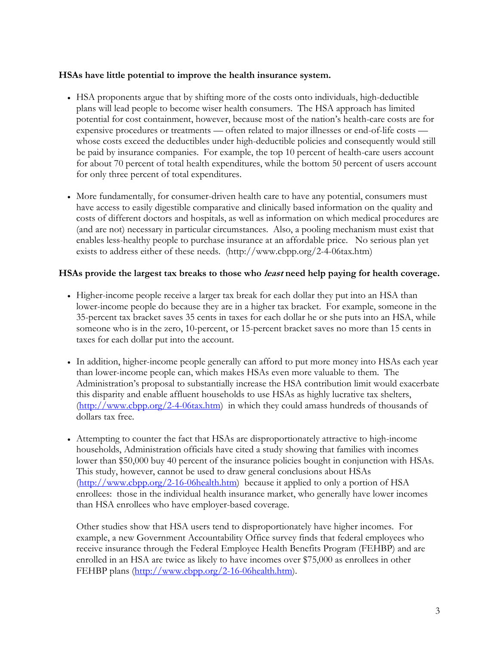#### **HSAs have little potential to improve the health insurance system.**

- HSA proponents argue that by shifting more of the costs onto individuals, high-deductible plans will lead people to become wiser health consumers. The HSA approach has limited potential for cost containment, however, because most of the nation's health-care costs are for expensive procedures or treatments — often related to major illnesses or end-of-life costs whose costs exceed the deductibles under high-deductible policies and consequently would still be paid by insurance companies. For example, the top 10 percent of health-care users account for about 70 percent of total health expenditures, while the bottom 50 percent of users account for only three percent of total expenditures.
- More fundamentally, for consumer-driven health care to have any potential, consumers must have access to easily digestible comparative and clinically based information on the quality and costs of different doctors and hospitals, as well as information on which medical procedures are (and are not) necessary in particular circumstances. Also, a pooling mechanism must exist that enables less-healthy people to purchase insurance at an affordable price. No serious plan yet exists to address either of these needs. (http://www.cbpp.org/2-4-06tax.htm)

#### **HSAs provide the largest tax breaks to those who least need help paying for health coverage.**

- Higher-income people receive a larger tax break for each dollar they put into an HSA than lower-income people do because they are in a higher tax bracket. For example, someone in the 35-percent tax bracket saves 35 cents in taxes for each dollar he or she puts into an HSA, while someone who is in the zero, 10-percent, or 15-percent bracket saves no more than 15 cents in taxes for each dollar put into the account.
- In addition, higher-income people generally can afford to put more money into HSAs each year than lower-income people can, which makes HSAs even more valuable to them. The Administration's proposal to substantially increase the HSA contribution limit would exacerbate this disparity and enable affluent households to use HSAs as highly lucrative tax shelters, (http://www.cbpp.org/2-4-06tax.htm) in which they could amass hundreds of thousands of dollars tax free.
- Attempting to counter the fact that HSAs are disproportionately attractive to high-income households, Administration officials have cited a study showing that families with incomes lower than \$50,000 buy 40 percent of the insurance policies bought in conjunction with HSAs. This study, however, cannot be used to draw general conclusions about HSAs (http://www.cbpp.org/2-16-06health.htm) because it applied to only a portion of HSA enrollees: those in the individual health insurance market, who generally have lower incomes than HSA enrollees who have employer-based coverage.

Other studies show that HSA users tend to disproportionately have higher incomes. For example, a new Government Accountability Office survey finds that federal employees who receive insurance through the Federal Employee Health Benefits Program (FEHBP) and are enrolled in an HSA are twice as likely to have incomes over \$75,000 as enrollees in other FEHBP plans (http://www.cbpp.org/2-16-06health.htm).